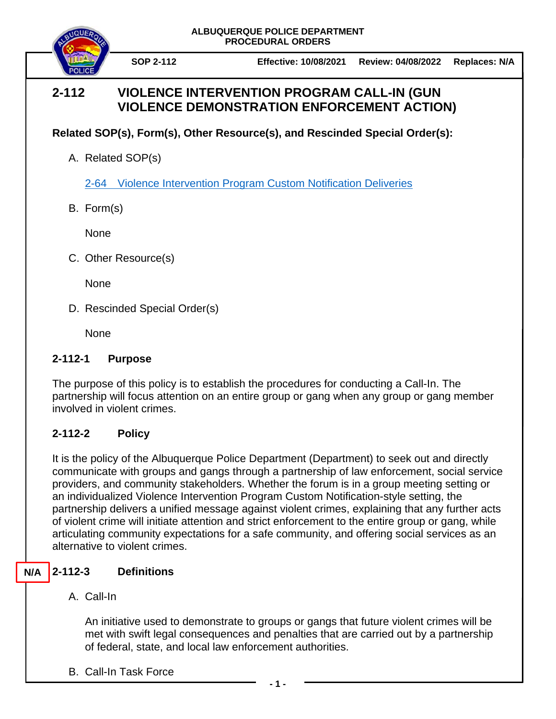

**SOP 2-112 Effective: 10/08/2021 Review: 04/08/2022 Replaces: N/A**

# **2-112 VIOLENCE INTERVENTION PROGRAM CALL-IN (GUN VIOLENCE DEMONSTRATION ENFORCEMENT ACTION)**

**Related SOP(s), Form(s), Other Resource(s), and Rescinded Special Order(s):**

A. Related SOP(s)

2-64 [Violence Intervention Program Custom Notification Deliveries](https://powerdms.com/docs/2235528)

B. Form(s)

None

C. Other Resource(s)

None

D. Rescinded Special Order(s)

None

# **2-112-1 Purpose**

The purpose of this policy is to establish the procedures for conducting a Call-In. The partnership will focus attention on an entire group or gang when any group or gang member involved in violent crimes.

# **2-112-2 Policy**

It is the policy of the Albuquerque Police Department (Department) to seek out and directly communicate with groups and gangs through a partnership of law enforcement, social service providers, and community stakeholders. Whether the forum is in a group meeting setting or an individualized Violence Intervention Program Custom Notification-style setting, the partnership delivers a unified message against violent crimes, explaining that any further acts of violent crime will initiate attention and strict enforcement to the entire group or gang, while articulating community expectations for a safe community, and offering social services as an alternative to violent crimes.

### **2-112-3 Definitions N/A**

A. Call-In

An initiative used to demonstrate to groups or gangs that future violent crimes will be met with swift legal consequences and penalties that are carried out by a partnership of federal, state, and local law enforcement authorities.

B. Call-In Task Force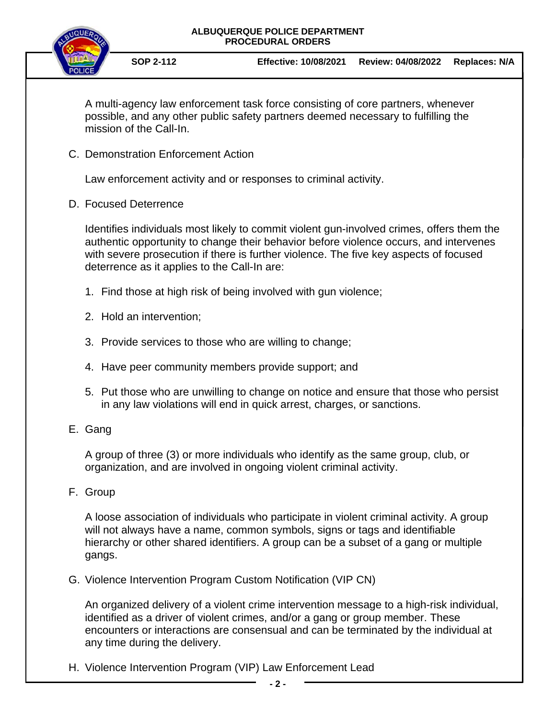

**SOP 2-112 Effective: 10/08/2021 Review: 04/08/2022 Replaces: N/A**

A multi-agency law enforcement task force consisting of core partners, whenever possible, and any other public safety partners deemed necessary to fulfilling the mission of the Call-In.

C. Demonstration Enforcement Action

Law enforcement activity and or responses to criminal activity.

D. Focused Deterrence

Identifies individuals most likely to commit violent gun-involved crimes, offers them the authentic opportunity to change their behavior before violence occurs, and intervenes with severe prosecution if there is further violence. The five key aspects of focused deterrence as it applies to the Call-In are:

- 1. Find those at high risk of being involved with gun violence;
- 2. Hold an intervention;
- 3. Provide services to those who are willing to change;
- 4. Have peer community members provide support; and
- 5. Put those who are unwilling to change on notice and ensure that those who persist in any law violations will end in quick arrest, charges, or sanctions.
- E. Gang

A group of three (3) or more individuals who identify as the same group, club, or organization, and are involved in ongoing violent criminal activity.

F. Group

A loose association of individuals who participate in violent criminal activity. A group will not always have a name, common symbols, signs or tags and identifiable hierarchy or other shared identifiers. A group can be a subset of a gang or multiple gangs.

G. Violence Intervention Program Custom Notification (VIP CN)

An organized delivery of a violent crime intervention message to a high-risk individual, identified as a driver of violent crimes, and/or a gang or group member. These encounters or interactions are consensual and can be terminated by the individual at any time during the delivery.

H. Violence Intervention Program (VIP) Law Enforcement Lead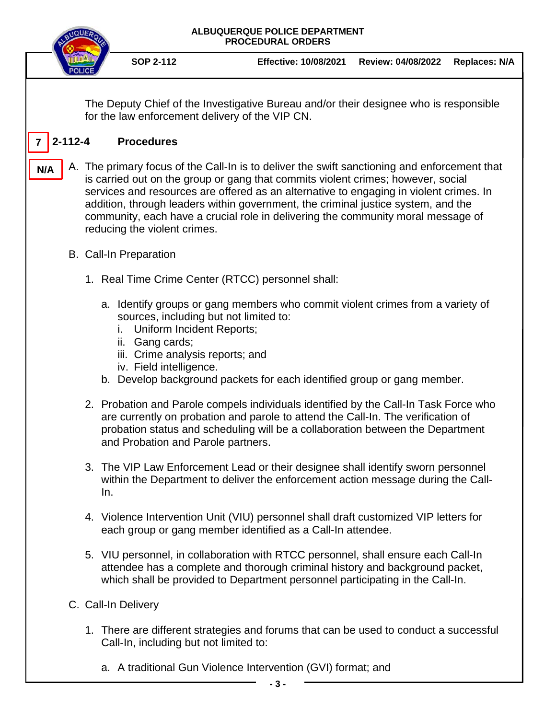

**SOP 2-112 Effective: 10/08/2021 Review: 04/08/2022 Replaces: N/A**

The Deputy Chief of the Investigative Bureau and/or their designee who is responsible for the law enforcement delivery of the VIP CN.

#### **2-112-4 Procedures 7**

- A. The primary focus of the Call-In is to deliver the swift sanctioning and enforcement that is carried out on the group or gang that commits violent crimes; however, social services and resources are offered as an alternative to engaging in violent crimes. In addition, through leaders within government, the criminal justice system, and the community, each have a crucial role in delivering the community moral message of reducing the violent crimes. **N/A**
	- B. Call-In Preparation
		- 1. Real Time Crime Center (RTCC) personnel shall:
			- a. Identify groups or gang members who commit violent crimes from a variety of sources, including but not limited to:
				- i. Uniform Incident Reports;
				- ii. Gang cards;
				- iii. Crime analysis reports; and
				- iv. Field intelligence.
			- b. Develop background packets for each identified group or gang member.
		- 2. Probation and Parole compels individuals identified by the Call-In Task Force who are currently on probation and parole to attend the Call-In. The verification of probation status and scheduling will be a collaboration between the Department and Probation and Parole partners.
		- 3. The VIP Law Enforcement Lead or their designee shall identify sworn personnel within the Department to deliver the enforcement action message during the Call-In.
		- 4. Violence Intervention Unit (VIU) personnel shall draft customized VIP letters for each group or gang member identified as a Call-In attendee.
		- 5. VIU personnel, in collaboration with RTCC personnel, shall ensure each Call-In attendee has a complete and thorough criminal history and background packet, which shall be provided to Department personnel participating in the Call-In.
	- C. Call-In Delivery
		- 1. There are different strategies and forums that can be used to conduct a successful Call-In, including but not limited to:
			- a. A traditional Gun Violence Intervention (GVI) format; and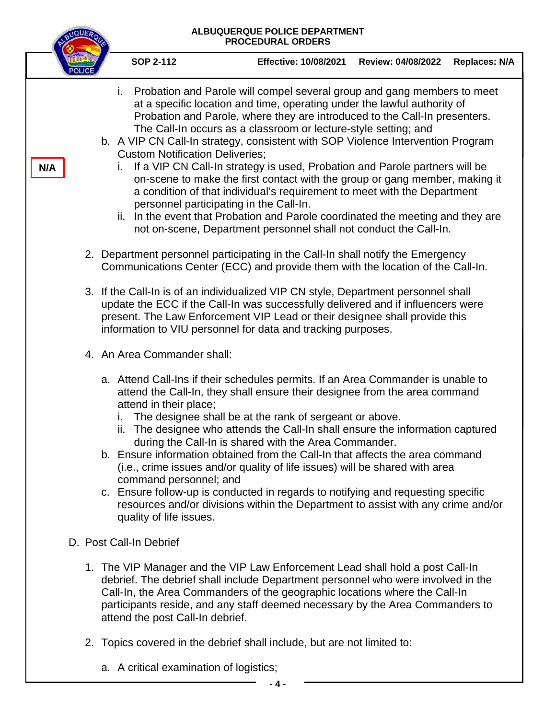|     |                                                                                                                                                                                                                                                                                                                                                                      |                                                                                                                                                                                                                                                                                                                                      | ALBUQUERQUE POLICE DEPARTMENT<br><b>PROCEDURAL ORDERS</b>                                                                                                                                                                                                                                                                                                                                                                                                                                                                                                                                                                                                                                                 |                    |                      |
|-----|----------------------------------------------------------------------------------------------------------------------------------------------------------------------------------------------------------------------------------------------------------------------------------------------------------------------------------------------------------------------|--------------------------------------------------------------------------------------------------------------------------------------------------------------------------------------------------------------------------------------------------------------------------------------------------------------------------------------|-----------------------------------------------------------------------------------------------------------------------------------------------------------------------------------------------------------------------------------------------------------------------------------------------------------------------------------------------------------------------------------------------------------------------------------------------------------------------------------------------------------------------------------------------------------------------------------------------------------------------------------------------------------------------------------------------------------|--------------------|----------------------|
|     |                                                                                                                                                                                                                                                                                                                                                                      | <b>SOP 2-112</b>                                                                                                                                                                                                                                                                                                                     | <b>Effective: 10/08/2021</b>                                                                                                                                                                                                                                                                                                                                                                                                                                                                                                                                                                                                                                                                              | Review: 04/08/2022 | <b>Replaces: N/A</b> |
| N/A |                                                                                                                                                                                                                                                                                                                                                                      | b. A VIP CN Call-In strategy, consistent with SOP Violence Intervention Program<br><b>Custom Notification Deliveries:</b><br>İ.<br>personnel participating in the Call-In.                                                                                                                                                           | i. Probation and Parole will compel several group and gang members to meet<br>at a specific location and time, operating under the lawful authority of<br>Probation and Parole, where they are introduced to the Call-In presenters.<br>The Call-In occurs as a classroom or lecture-style setting; and<br>If a VIP CN Call-In strategy is used, Probation and Parole partners will be<br>on-scene to make the first contact with the group or gang member, making it<br>a condition of that individual's requirement to meet with the Department<br>ii. In the event that Probation and Parole coordinated the meeting and they are<br>not on-scene, Department personnel shall not conduct the Call-In. |                    |                      |
|     | 2. Department personnel participating in the Call-In shall notify the Emergency<br>Communications Center (ECC) and provide them with the location of the Call-In.                                                                                                                                                                                                    |                                                                                                                                                                                                                                                                                                                                      |                                                                                                                                                                                                                                                                                                                                                                                                                                                                                                                                                                                                                                                                                                           |                    |                      |
|     |                                                                                                                                                                                                                                                                                                                                                                      | 3. If the Call-In is of an individualized VIP CN style, Department personnel shall<br>update the ECC if the Call-In was successfully delivered and if influencers were<br>present. The Law Enforcement VIP Lead or their designee shall provide this<br>information to VIU personnel for data and tracking purposes.                 |                                                                                                                                                                                                                                                                                                                                                                                                                                                                                                                                                                                                                                                                                                           |                    |                      |
|     |                                                                                                                                                                                                                                                                                                                                                                      | 4. An Area Commander shall:                                                                                                                                                                                                                                                                                                          |                                                                                                                                                                                                                                                                                                                                                                                                                                                                                                                                                                                                                                                                                                           |                    |                      |
|     |                                                                                                                                                                                                                                                                                                                                                                      | a. Attend Call-Ins if their schedules permits. If an Area Commander is unable to<br>attend in their place;<br>b. Ensure information obtained from the Call-In that affects the area command<br>command personnel; and<br>c. Ensure follow-up is conducted in regards to notifying and requesting specific<br>quality of life issues. | attend the Call-In, they shall ensure their designee from the area command<br>The designee shall be at the rank of sergeant or above.<br>ii. The designee who attends the Call-In shall ensure the information captured<br>during the Call-In is shared with the Area Commander.<br>(i.e., crime issues and/or quality of life issues) will be shared with area<br>resources and/or divisions within the Department to assist with any crime and/or                                                                                                                                                                                                                                                       |                    |                      |
|     | D. Post Call-In Debrief                                                                                                                                                                                                                                                                                                                                              |                                                                                                                                                                                                                                                                                                                                      |                                                                                                                                                                                                                                                                                                                                                                                                                                                                                                                                                                                                                                                                                                           |                    |                      |
|     | 1. The VIP Manager and the VIP Law Enforcement Lead shall hold a post Call-In<br>debrief. The debrief shall include Department personnel who were involved in the<br>Call-In, the Area Commanders of the geographic locations where the Call-In<br>participants reside, and any staff deemed necessary by the Area Commanders to<br>attend the post Call-In debrief. |                                                                                                                                                                                                                                                                                                                                      |                                                                                                                                                                                                                                                                                                                                                                                                                                                                                                                                                                                                                                                                                                           |                    |                      |

- 2. Topics covered in the debrief shall include, but are not limited to:
	- a. A critical examination of logistics;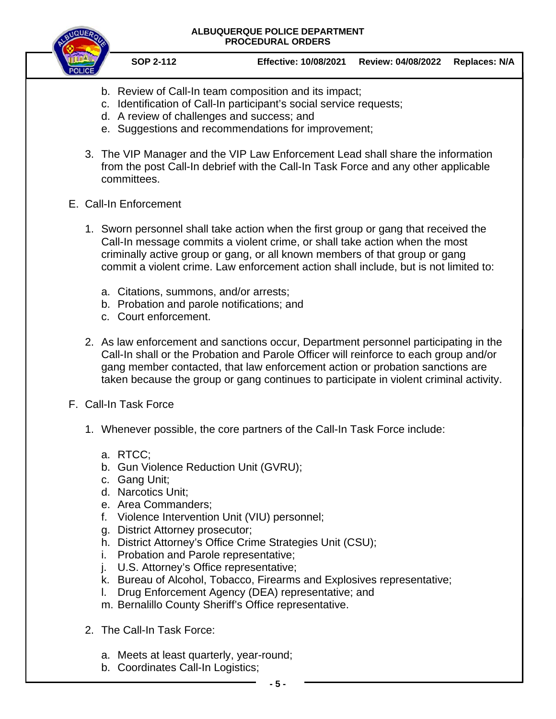

**SOP 2-112 Effective: 10/08/2021 Review: 04/08/2022 Replaces: N/A**

- b. Review of Call-In team composition and its impact;
- c. Identification of Call-In participant's social service requests;
- d. A review of challenges and success; and
- e. Suggestions and recommendations for improvement;
- 3. The VIP Manager and the VIP Law Enforcement Lead shall share the information from the post Call-In debrief with the Call-In Task Force and any other applicable committees.
- E. Call-In Enforcement
	- 1. Sworn personnel shall take action when the first group or gang that received the Call-In message commits a violent crime, or shall take action when the most criminally active group or gang, or all known members of that group or gang commit a violent crime. Law enforcement action shall include, but is not limited to:
		- a. Citations, summons, and/or arrests;
		- b. Probation and parole notifications; and
		- c. Court enforcement.
	- 2. As law enforcement and sanctions occur, Department personnel participating in the Call-In shall or the Probation and Parole Officer will reinforce to each group and/or gang member contacted, that law enforcement action or probation sanctions are taken because the group or gang continues to participate in violent criminal activity.
- F. Call-In Task Force
	- 1. Whenever possible, the core partners of the Call-In Task Force include:
		- a. RTCC;
		- b. Gun Violence Reduction Unit (GVRU);
		- c. Gang Unit;
		- d. Narcotics Unit;
		- e. Area Commanders;
		- f. Violence Intervention Unit (VIU) personnel;
		- g. District Attorney prosecutor;
		- h. District Attorney's Office Crime Strategies Unit (CSU);
		- i. Probation and Parole representative;
		- j. U.S. Attorney's Office representative;
		- k. Bureau of Alcohol, Tobacco, Firearms and Explosives representative;
		- l. Drug Enforcement Agency (DEA) representative; and
		- m. Bernalillo County Sheriff's Office representative.
	- 2. The Call-In Task Force:
		- a. Meets at least quarterly, year-round;
		- b. Coordinates Call-In Logistics;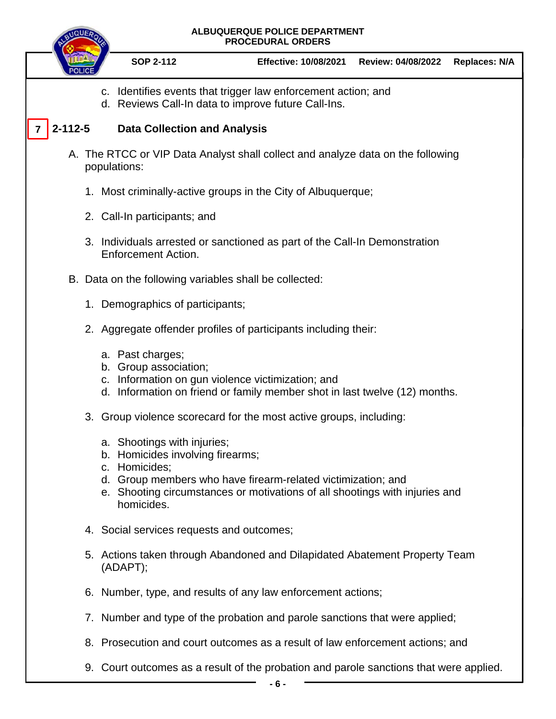**7**

## **ALBUQUERQUE POLICE DEPARTMENT PROCEDURAL ORDERS**

- **SOP 2-112 Effective: 10/08/2021 Review: 04/08/2022 Replaces: N/A** c. Identifies events that trigger law enforcement action; and d. Reviews Call-In data to improve future Call-Ins. **2-112-5 Data Collection and Analysis** A. The RTCC or VIP Data Analyst shall collect and analyze data on the following populations: 1. Most criminally-active groups in the City of Albuquerque; 2. Call-In participants; and 3. Individuals arrested or sanctioned as part of the Call-In Demonstration Enforcement Action. B. Data on the following variables shall be collected: 1. Demographics of participants; 2. Aggregate offender profiles of participants including their: a. Past charges; b. Group association; c. Information on gun violence victimization; and d. Information on friend or family member shot in last twelve (12) months. 3. Group violence scorecard for the most active groups, including: a. Shootings with injuries; b. Homicides involving firearms; c. Homicides; d. Group members who have firearm-related victimization; and e. Shooting circumstances or motivations of all shootings with injuries and homicides. 4. Social services requests and outcomes; 5. Actions taken through Abandoned and Dilapidated Abatement Property Team (ADAPT); 6. Number, type, and results of any law enforcement actions; 7. Number and type of the probation and parole sanctions that were applied; 8. Prosecution and court outcomes as a result of law enforcement actions; and
	- 9. Court outcomes as a result of the probation and parole sanctions that were applied.